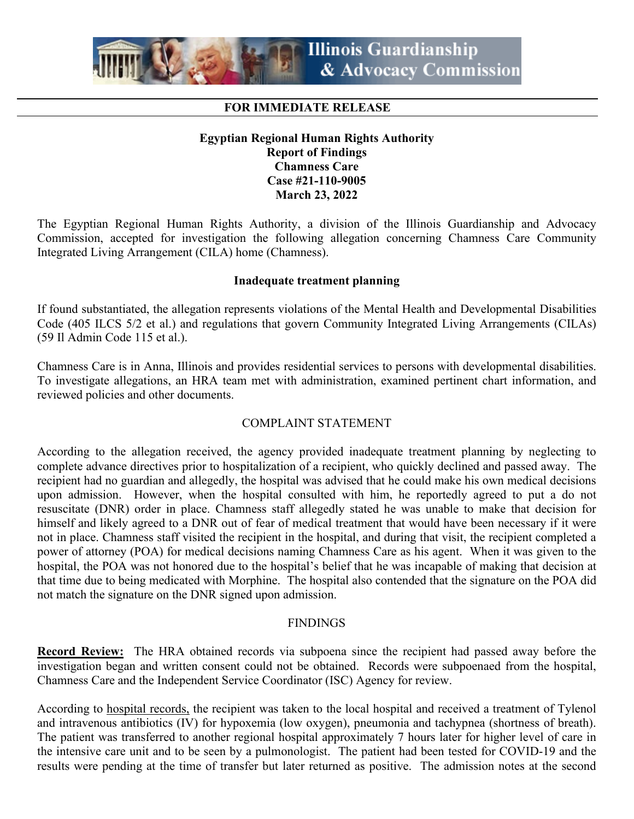

# **FOR IMMEDIATE RELEASE**

# **Egyptian Regional Human Rights Authority Report of Findings Chamness Care Case #21-110-9005 March 23, 2022**

The Egyptian Regional Human Rights Authority, a division of the Illinois Guardianship and Advocacy Commission, accepted for investigation the following allegation concerning Chamness Care Community Integrated Living Arrangement (CILA) home (Chamness).

#### **Inadequate treatment planning**

If found substantiated, the allegation represents violations of the Mental Health and Developmental Disabilities Code (405 ILCS 5/2 et al.) and regulations that govern Community Integrated Living Arrangements (CILAs) (59 Il Admin Code 115 et al.).

Chamness Care is in Anna, Illinois and provides residential services to persons with developmental disabilities. To investigate allegations, an HRA team met with administration, examined pertinent chart information, and reviewed policies and other documents.

## COMPLAINT STATEMENT

According to the allegation received, the agency provided inadequate treatment planning by neglecting to complete advance directives prior to hospitalization of a recipient, who quickly declined and passed away. The recipient had no guardian and allegedly, the hospital was advised that he could make his own medical decisions upon admission. However, when the hospital consulted with him, he reportedly agreed to put a do not resuscitate (DNR) order in place. Chamness staff allegedly stated he was unable to make that decision for himself and likely agreed to a DNR out of fear of medical treatment that would have been necessary if it were not in place. Chamness staff visited the recipient in the hospital, and during that visit, the recipient completed a power of attorney (POA) for medical decisions naming Chamness Care as his agent. When it was given to the hospital, the POA was not honored due to the hospital's belief that he was incapable of making that decision at that time due to being medicated with Morphine. The hospital also contended that the signature on the POA did not match the signature on the DNR signed upon admission.

## FINDINGS

**Record Review:** The HRA obtained records via subpoena since the recipient had passed away before the investigation began and written consent could not be obtained. Records were subpoenaed from the hospital, Chamness Care and the Independent Service Coordinator (ISC) Agency for review.

According to hospital records, the recipient was taken to the local hospital and received a treatment of Tylenol and intravenous antibiotics (IV) for hypoxemia (low oxygen), pneumonia and tachypnea (shortness of breath). The patient was transferred to another regional hospital approximately 7 hours later for higher level of care in the intensive care unit and to be seen by a pulmonologist. The patient had been tested for COVID-19 and the results were pending at the time of transfer but later returned as positive. The admission notes at the second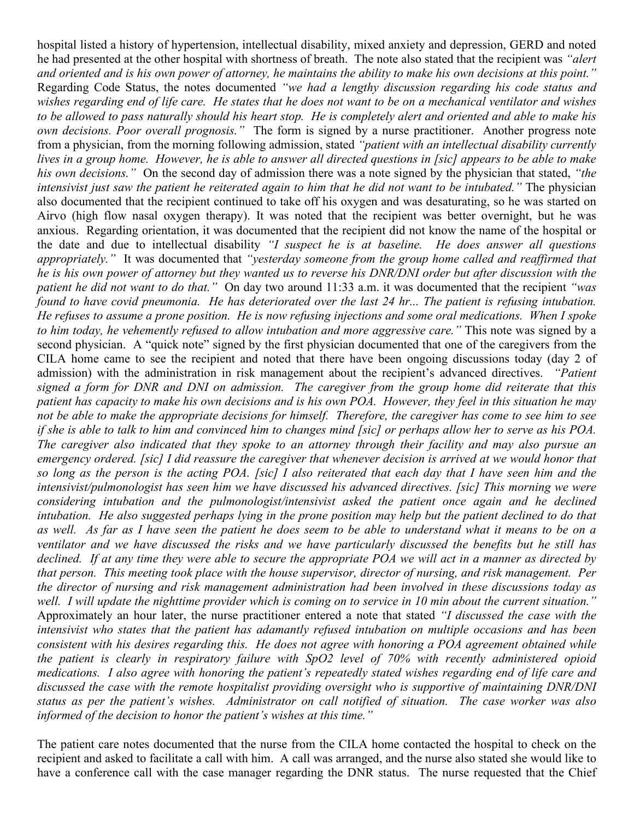hospital listed a history of hypertension, intellectual disability, mixed anxiety and depression, GERD and noted he had presented at the other hospital with shortness of breath. The note also stated that the recipient was *"alert and oriented and is his own power of attorney, he maintains the ability to make his own decisions at this point."* Regarding Code Status, the notes documented *"we had a lengthy discussion regarding his code status and wishes regarding end of life care. He states that he does not want to be on a mechanical ventilator and wishes to be allowed to pass naturally should his heart stop. He is completely alert and oriented and able to make his own decisions. Poor overall prognosis."* The form is signed by a nurse practitioner. Another progress note from a physician, from the morning following admission, stated *"patient with an intellectual disability currently lives in a group home. However, he is able to answer all directed questions in [sic] appears to be able to make his own decisions."* On the second day of admission there was a note signed by the physician that stated, *"the intensivist just saw the patient he reiterated again to him that he did not want to be intubated."* The physician also documented that the recipient continued to take off his oxygen and was desaturating, so he was started on Airvo (high flow nasal oxygen therapy). It was noted that the recipient was better overnight, but he was anxious. Regarding orientation, it was documented that the recipient did not know the name of the hospital or the date and due to intellectual disability *"I suspect he is at baseline. He does answer all questions appropriately."* It was documented that *"yesterday someone from the group home called and reaffirmed that he is his own power of attorney but they wanted us to reverse his DNR/DNI order but after discussion with the patient he did not want to do that."* On day two around 11:33 a.m. it was documented that the recipient *"was found to have covid pneumonia. He has deteriorated over the last 24 hr... The patient is refusing intubation. He refuses to assume a prone position. He is now refusing injections and some oral medications. When I spoke to him today, he vehemently refused to allow intubation and more aggressive care."* This note was signed by a second physician. A "quick note" signed by the first physician documented that one of the caregivers from the CILA home came to see the recipient and noted that there have been ongoing discussions today (day 2 of admission) with the administration in risk management about the recipient's advanced directives. *"Patient signed a form for DNR and DNI on admission. The caregiver from the group home did reiterate that this patient has capacity to make his own decisions and is his own POA. However, they feel in this situation he may not be able to make the appropriate decisions for himself. Therefore, the caregiver has come to see him to see if she is able to talk to him and convinced him to changes mind [sic] or perhaps allow her to serve as his POA. The caregiver also indicated that they spoke to an attorney through their facility and may also pursue an emergency ordered. [sic] I did reassure the caregiver that whenever decision is arrived at we would honor that so long as the person is the acting POA. [sic] I also reiterated that each day that I have seen him and the intensivist/pulmonologist has seen him we have discussed his advanced directives. [sic] This morning we were considering intubation and the pulmonologist/intensivist asked the patient once again and he declined intubation. He also suggested perhaps lying in the prone position may help but the patient declined to do that as well. As far as I have seen the patient he does seem to be able to understand what it means to be on a ventilator and we have discussed the risks and we have particularly discussed the benefits but he still has declined. If at any time they were able to secure the appropriate POA we will act in a manner as directed by that person. This meeting took place with the house supervisor, director of nursing, and risk management. Per the director of nursing and risk management administration had been involved in these discussions today as well. I will update the nighttime provider which is coming on to service in 10 min about the current situation."* Approximately an hour later, the nurse practitioner entered a note that stated *"I discussed the case with the intensivist who states that the patient has adamantly refused intubation on multiple occasions and has been consistent with his desires regarding this. He does not agree with honoring a POA agreement obtained while the patient is clearly in respiratory failure with SpO2 level of 70% with recently administered opioid medications. I also agree with honoring the patient's repeatedly stated wishes regarding end of life care and discussed the case with the remote hospitalist providing oversight who is supportive of maintaining DNR/DNI status as per the patient's wishes. Administrator on call notified of situation. The case worker was also informed of the decision to honor the patient's wishes at this time."*

The patient care notes documented that the nurse from the CILA home contacted the hospital to check on the recipient and asked to facilitate a call with him. A call was arranged, and the nurse also stated she would like to have a conference call with the case manager regarding the DNR status. The nurse requested that the Chief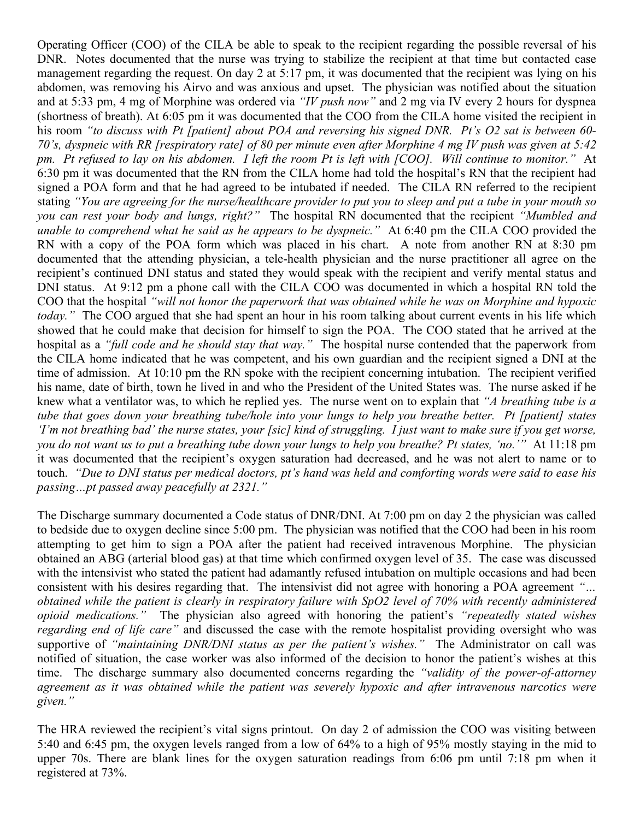Operating Officer (COO) of the CILA be able to speak to the recipient regarding the possible reversal of his DNR. Notes documented that the nurse was trying to stabilize the recipient at that time but contacted case management regarding the request. On day 2 at 5:17 pm, it was documented that the recipient was lying on his abdomen, was removing his Airvo and was anxious and upset. The physician was notified about the situation and at 5:33 pm, 4 mg of Morphine was ordered via *"IV push now"* and 2 mg via IV every 2 hours for dyspnea (shortness of breath). At 6:05 pm it was documented that the COO from the CILA home visited the recipient in his room *"to discuss with Pt [patient] about POA and reversing his signed DNR. Pt's O2 sat is between 60- 70's, dyspneic with RR [respiratory rate] of 80 per minute even after Morphine 4 mg IV push was given at 5:42 pm. Pt refused to lay on his abdomen. I left the room Pt is left with [COO]. Will continue to monitor."* At 6:30 pm it was documented that the RN from the CILA home had told the hospital's RN that the recipient had signed a POA form and that he had agreed to be intubated if needed. The CILA RN referred to the recipient stating *"You are agreeing for the nurse/healthcare provider to put you to sleep and put a tube in your mouth so you can rest your body and lungs, right?"* The hospital RN documented that the recipient *"Mumbled and unable to comprehend what he said as he appears to be dyspneic."* At 6:40 pm the CILA COO provided the RN with a copy of the POA form which was placed in his chart. A note from another RN at 8:30 pm documented that the attending physician, a tele-health physician and the nurse practitioner all agree on the recipient's continued DNI status and stated they would speak with the recipient and verify mental status and DNI status. At 9:12 pm a phone call with the CILA COO was documented in which a hospital RN told the COO that the hospital *"will not honor the paperwork that was obtained while he was on Morphine and hypoxic today.*" The COO argued that she had spent an hour in his room talking about current events in his life which showed that he could make that decision for himself to sign the POA. The COO stated that he arrived at the hospital as a *"full code and he should stay that way."* The hospital nurse contended that the paperwork from the CILA home indicated that he was competent, and his own guardian and the recipient signed a DNI at the time of admission. At 10:10 pm the RN spoke with the recipient concerning intubation. The recipient verified his name, date of birth, town he lived in and who the President of the United States was. The nurse asked if he knew what a ventilator was, to which he replied yes. The nurse went on to explain that *"A breathing tube is a tube that goes down your breathing tube/hole into your lungs to help you breathe better. Pt [patient] states 'I'm not breathing bad' the nurse states, your [sic] kind of struggling. I just want to make sure if you get worse, you do not want us to put a breathing tube down your lungs to help you breathe? Pt states, 'no.'"* At 11:18 pm it was documented that the recipient's oxygen saturation had decreased, and he was not alert to name or to touch. *"Due to DNI status per medical doctors, pt's hand was held and comforting words were said to ease his passing…pt passed away peacefully at 2321."*

The Discharge summary documented a Code status of DNR/DNI. At 7:00 pm on day 2 the physician was called to bedside due to oxygen decline since 5:00 pm. The physician was notified that the COO had been in his room attempting to get him to sign a POA after the patient had received intravenous Morphine. The physician obtained an ABG (arterial blood gas) at that time which confirmed oxygen level of 35. The case was discussed with the intensivist who stated the patient had adamantly refused intubation on multiple occasions and had been consistent with his desires regarding that. The intensivist did not agree with honoring a POA agreement *"… obtained while the patient is clearly in respiratory failure with SpO2 level of 70% with recently administered opioid medications."* The physician also agreed with honoring the patient's *"repeatedly stated wishes regarding end of life care"* and discussed the case with the remote hospitalist providing oversight who was supportive of *"maintaining DNR/DNI status as per the patient's wishes."* The Administrator on call was notified of situation, the case worker was also informed of the decision to honor the patient's wishes at this time. The discharge summary also documented concerns regarding the *"validity of the power-of-attorney agreement as it was obtained while the patient was severely hypoxic and after intravenous narcotics were given."*

The HRA reviewed the recipient's vital signs printout. On day 2 of admission the COO was visiting between 5:40 and 6:45 pm, the oxygen levels ranged from a low of 64% to a high of 95% mostly staying in the mid to upper 70s. There are blank lines for the oxygen saturation readings from 6:06 pm until 7:18 pm when it registered at 73%.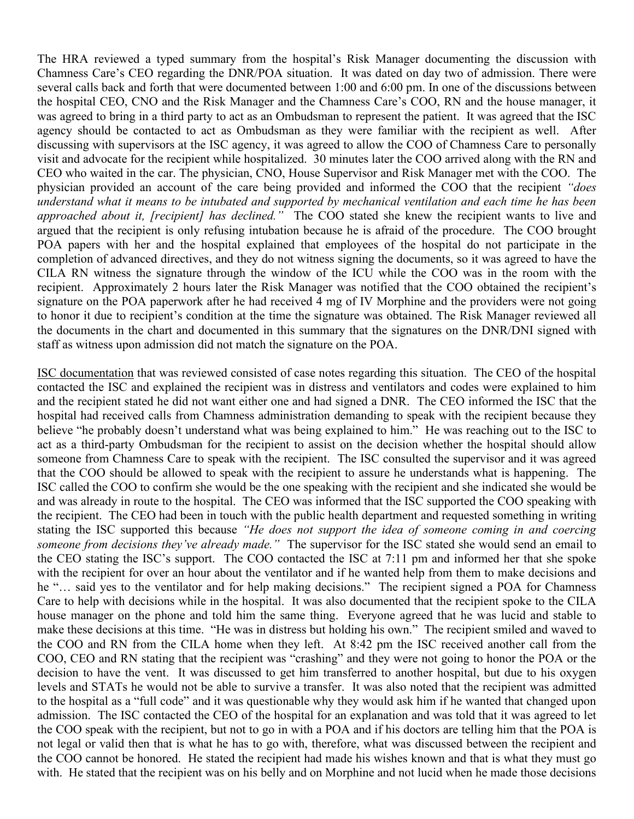The HRA reviewed a typed summary from the hospital's Risk Manager documenting the discussion with Chamness Care's CEO regarding the DNR/POA situation. It was dated on day two of admission. There were several calls back and forth that were documented between 1:00 and 6:00 pm. In one of the discussions between the hospital CEO, CNO and the Risk Manager and the Chamness Care's COO, RN and the house manager, it was agreed to bring in a third party to act as an Ombudsman to represent the patient. It was agreed that the ISC agency should be contacted to act as Ombudsman as they were familiar with the recipient as well. After discussing with supervisors at the ISC agency, it was agreed to allow the COO of Chamness Care to personally visit and advocate for the recipient while hospitalized. 30 minutes later the COO arrived along with the RN and CEO who waited in the car. The physician, CNO, House Supervisor and Risk Manager met with the COO. The physician provided an account of the care being provided and informed the COO that the recipient *"does understand what it means to be intubated and supported by mechanical ventilation and each time he has been approached about it, [recipient] has declined."* The COO stated she knew the recipient wants to live and argued that the recipient is only refusing intubation because he is afraid of the procedure. The COO brought POA papers with her and the hospital explained that employees of the hospital do not participate in the completion of advanced directives, and they do not witness signing the documents, so it was agreed to have the CILA RN witness the signature through the window of the ICU while the COO was in the room with the recipient. Approximately 2 hours later the Risk Manager was notified that the COO obtained the recipient's signature on the POA paperwork after he had received 4 mg of IV Morphine and the providers were not going to honor it due to recipient's condition at the time the signature was obtained. The Risk Manager reviewed all the documents in the chart and documented in this summary that the signatures on the DNR/DNI signed with staff as witness upon admission did not match the signature on the POA.

ISC documentation that was reviewed consisted of case notes regarding this situation. The CEO of the hospital contacted the ISC and explained the recipient was in distress and ventilators and codes were explained to him and the recipient stated he did not want either one and had signed a DNR. The CEO informed the ISC that the hospital had received calls from Chamness administration demanding to speak with the recipient because they believe "he probably doesn't understand what was being explained to him." He was reaching out to the ISC to act as a third-party Ombudsman for the recipient to assist on the decision whether the hospital should allow someone from Chamness Care to speak with the recipient. The ISC consulted the supervisor and it was agreed that the COO should be allowed to speak with the recipient to assure he understands what is happening. The ISC called the COO to confirm she would be the one speaking with the recipient and she indicated she would be and was already in route to the hospital. The CEO was informed that the ISC supported the COO speaking with the recipient. The CEO had been in touch with the public health department and requested something in writing stating the ISC supported this because *"He does not support the idea of someone coming in and coercing someone from decisions they've already made."* The supervisor for the ISC stated she would send an email to the CEO stating the ISC's support. The COO contacted the ISC at 7:11 pm and informed her that she spoke with the recipient for over an hour about the ventilator and if he wanted help from them to make decisions and he "… said yes to the ventilator and for help making decisions." The recipient signed a POA for Chamness Care to help with decisions while in the hospital. It was also documented that the recipient spoke to the CILA house manager on the phone and told him the same thing. Everyone agreed that he was lucid and stable to make these decisions at this time. "He was in distress but holding his own." The recipient smiled and waved to the COO and RN from the CILA home when they left. At 8:42 pm the ISC received another call from the COO, CEO and RN stating that the recipient was "crashing" and they were not going to honor the POA or the decision to have the vent. It was discussed to get him transferred to another hospital, but due to his oxygen levels and STATs he would not be able to survive a transfer. It was also noted that the recipient was admitted to the hospital as a "full code" and it was questionable why they would ask him if he wanted that changed upon admission. The ISC contacted the CEO of the hospital for an explanation and was told that it was agreed to let the COO speak with the recipient, but not to go in with a POA and if his doctors are telling him that the POA is not legal or valid then that is what he has to go with, therefore, what was discussed between the recipient and the COO cannot be honored. He stated the recipient had made his wishes known and that is what they must go with. He stated that the recipient was on his belly and on Morphine and not lucid when he made those decisions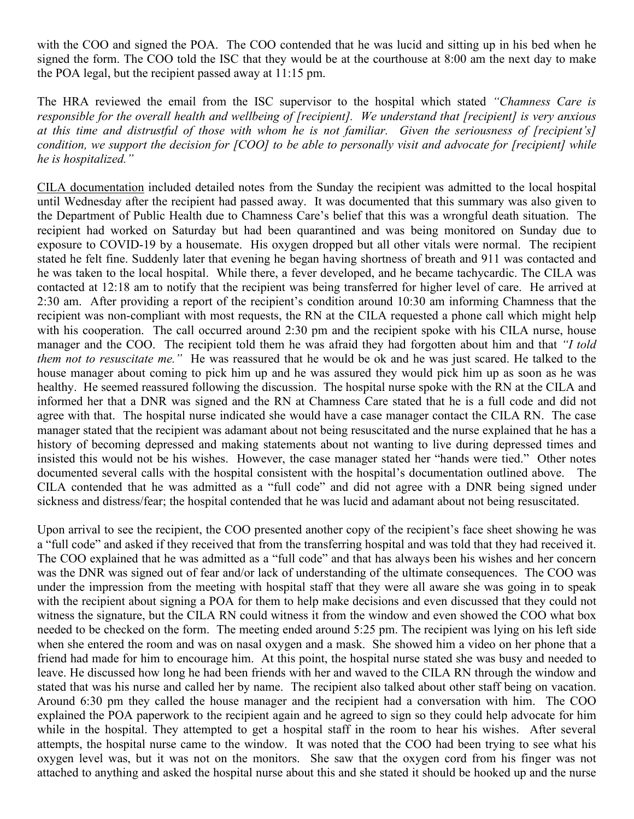with the COO and signed the POA. The COO contended that he was lucid and sitting up in his bed when he signed the form. The COO told the ISC that they would be at the courthouse at 8:00 am the next day to make the POA legal, but the recipient passed away at 11:15 pm.

The HRA reviewed the email from the ISC supervisor to the hospital which stated *"Chamness Care is responsible for the overall health and wellbeing of [recipient]. We understand that [recipient] is very anxious at this time and distrustful of those with whom he is not familiar. Given the seriousness of [recipient's] condition, we support the decision for [COO] to be able to personally visit and advocate for [recipient] while he is hospitalized."*

CILA documentation included detailed notes from the Sunday the recipient was admitted to the local hospital until Wednesday after the recipient had passed away. It was documented that this summary was also given to the Department of Public Health due to Chamness Care's belief that this was a wrongful death situation. The recipient had worked on Saturday but had been quarantined and was being monitored on Sunday due to exposure to COVID-19 by a housemate. His oxygen dropped but all other vitals were normal. The recipient stated he felt fine. Suddenly later that evening he began having shortness of breath and 911 was contacted and he was taken to the local hospital. While there, a fever developed, and he became tachycardic. The CILA was contacted at 12:18 am to notify that the recipient was being transferred for higher level of care. He arrived at 2:30 am. After providing a report of the recipient's condition around 10:30 am informing Chamness that the recipient was non-compliant with most requests, the RN at the CILA requested a phone call which might help with his cooperation. The call occurred around 2:30 pm and the recipient spoke with his CILA nurse, house manager and the COO. The recipient told them he was afraid they had forgotten about him and that *"I told them not to resuscitate me."* He was reassured that he would be ok and he was just scared. He talked to the house manager about coming to pick him up and he was assured they would pick him up as soon as he was healthy. He seemed reassured following the discussion. The hospital nurse spoke with the RN at the CILA and informed her that a DNR was signed and the RN at Chamness Care stated that he is a full code and did not agree with that. The hospital nurse indicated she would have a case manager contact the CILA RN. The case manager stated that the recipient was adamant about not being resuscitated and the nurse explained that he has a history of becoming depressed and making statements about not wanting to live during depressed times and insisted this would not be his wishes. However, the case manager stated her "hands were tied." Other notes documented several calls with the hospital consistent with the hospital's documentation outlined above. The CILA contended that he was admitted as a "full code" and did not agree with a DNR being signed under sickness and distress/fear; the hospital contended that he was lucid and adamant about not being resuscitated.

Upon arrival to see the recipient, the COO presented another copy of the recipient's face sheet showing he was a "full code" and asked if they received that from the transferring hospital and was told that they had received it. The COO explained that he was admitted as a "full code" and that has always been his wishes and her concern was the DNR was signed out of fear and/or lack of understanding of the ultimate consequences. The COO was under the impression from the meeting with hospital staff that they were all aware she was going in to speak with the recipient about signing a POA for them to help make decisions and even discussed that they could not witness the signature, but the CILA RN could witness it from the window and even showed the COO what box needed to be checked on the form. The meeting ended around 5:25 pm. The recipient was lying on his left side when she entered the room and was on nasal oxygen and a mask. She showed him a video on her phone that a friend had made for him to encourage him. At this point, the hospital nurse stated she was busy and needed to leave. He discussed how long he had been friends with her and waved to the CILA RN through the window and stated that was his nurse and called her by name. The recipient also talked about other staff being on vacation. Around 6:30 pm they called the house manager and the recipient had a conversation with him. The COO explained the POA paperwork to the recipient again and he agreed to sign so they could help advocate for him while in the hospital. They attempted to get a hospital staff in the room to hear his wishes. After several attempts, the hospital nurse came to the window. It was noted that the COO had been trying to see what his oxygen level was, but it was not on the monitors. She saw that the oxygen cord from his finger was not attached to anything and asked the hospital nurse about this and she stated it should be hooked up and the nurse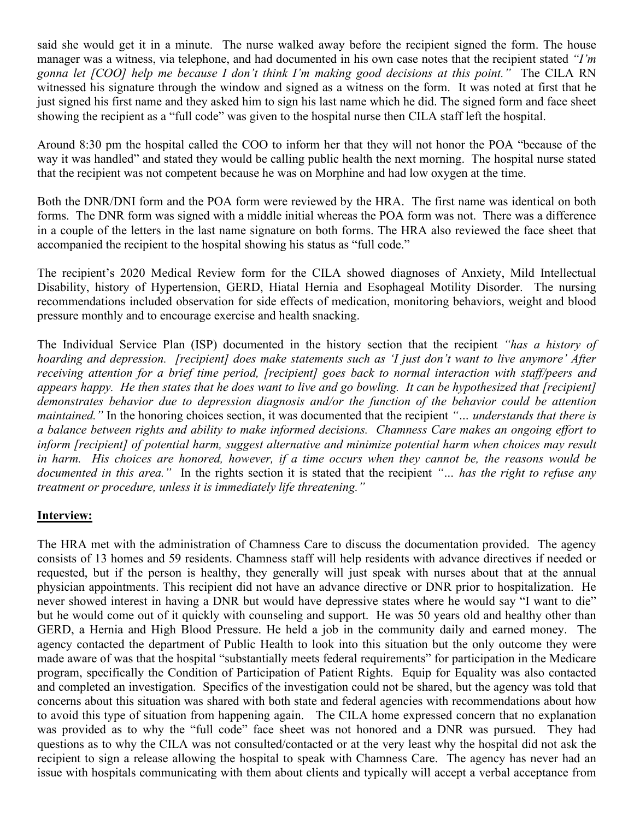said she would get it in a minute. The nurse walked away before the recipient signed the form. The house manager was a witness, via telephone, and had documented in his own case notes that the recipient stated *"I'm gonna let [COO] help me because I don't think I'm making good decisions at this point."* The CILA RN witnessed his signature through the window and signed as a witness on the form. It was noted at first that he just signed his first name and they asked him to sign his last name which he did. The signed form and face sheet showing the recipient as a "full code" was given to the hospital nurse then CILA staff left the hospital.

Around 8:30 pm the hospital called the COO to inform her that they will not honor the POA "because of the way it was handled" and stated they would be calling public health the next morning. The hospital nurse stated that the recipient was not competent because he was on Morphine and had low oxygen at the time.

Both the DNR/DNI form and the POA form were reviewed by the HRA. The first name was identical on both forms. The DNR form was signed with a middle initial whereas the POA form was not. There was a difference in a couple of the letters in the last name signature on both forms. The HRA also reviewed the face sheet that accompanied the recipient to the hospital showing his status as "full code."

The recipient's 2020 Medical Review form for the CILA showed diagnoses of Anxiety, Mild Intellectual Disability, history of Hypertension, GERD, Hiatal Hernia and Esophageal Motility Disorder. The nursing recommendations included observation for side effects of medication, monitoring behaviors, weight and blood pressure monthly and to encourage exercise and health snacking.

The Individual Service Plan (ISP) documented in the history section that the recipient *"has a history of hoarding and depression. [recipient] does make statements such as 'I just don't want to live anymore' After receiving attention for a brief time period, [recipient] goes back to normal interaction with staff/peers and appears happy. He then states that he does want to live and go bowling. It can be hypothesized that [recipient] demonstrates behavior due to depression diagnosis and/or the function of the behavior could be attention maintained."* In the honoring choices section, it was documented that the recipient *"… understands that there is a balance between rights and ability to make informed decisions. Chamness Care makes an ongoing effort to inform [recipient] of potential harm, suggest alternative and minimize potential harm when choices may result in harm. His choices are honored, however, if a time occurs when they cannot be, the reasons would be documented in this area."* In the rights section it is stated that the recipient *"… has the right to refuse any treatment or procedure, unless it is immediately life threatening."*

## **Interview:**

The HRA met with the administration of Chamness Care to discuss the documentation provided. The agency consists of 13 homes and 59 residents. Chamness staff will help residents with advance directives if needed or requested, but if the person is healthy, they generally will just speak with nurses about that at the annual physician appointments. This recipient did not have an advance directive or DNR prior to hospitalization. He never showed interest in having a DNR but would have depressive states where he would say "I want to die" but he would come out of it quickly with counseling and support. He was 50 years old and healthy other than GERD, a Hernia and High Blood Pressure. He held a job in the community daily and earned money. The agency contacted the department of Public Health to look into this situation but the only outcome they were made aware of was that the hospital "substantially meets federal requirements" for participation in the Medicare program, specifically the Condition of Participation of Patient Rights. Equip for Equality was also contacted and completed an investigation. Specifics of the investigation could not be shared, but the agency was told that concerns about this situation was shared with both state and federal agencies with recommendations about how to avoid this type of situation from happening again. The CILA home expressed concern that no explanation was provided as to why the "full code" face sheet was not honored and a DNR was pursued. They had questions as to why the CILA was not consulted/contacted or at the very least why the hospital did not ask the recipient to sign a release allowing the hospital to speak with Chamness Care. The agency has never had an issue with hospitals communicating with them about clients and typically will accept a verbal acceptance from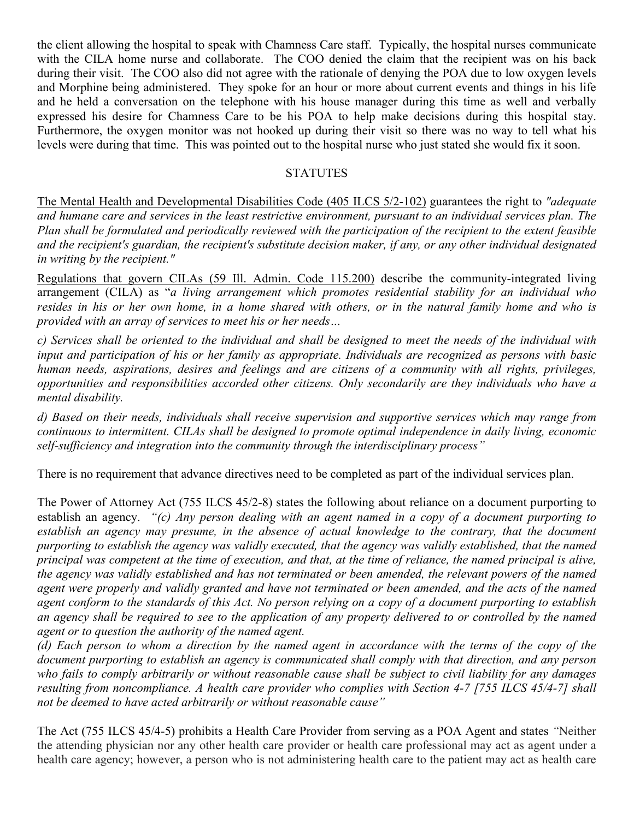the client allowing the hospital to speak with Chamness Care staff. Typically, the hospital nurses communicate with the CILA home nurse and collaborate. The COO denied the claim that the recipient was on his back during their visit. The COO also did not agree with the rationale of denying the POA due to low oxygen levels and Morphine being administered. They spoke for an hour or more about current events and things in his life and he held a conversation on the telephone with his house manager during this time as well and verbally expressed his desire for Chamness Care to be his POA to help make decisions during this hospital stay. Furthermore, the oxygen monitor was not hooked up during their visit so there was no way to tell what his levels were during that time. This was pointed out to the hospital nurse who just stated she would fix it soon.

# **STATUTES**

The Mental Health and Developmental Disabilities Code (405 ILCS 5/2-102) guarantees the right to *"adequate and humane care and services in the least restrictive environment, pursuant to an individual services plan. The Plan shall be formulated and periodically reviewed with the participation of the recipient to the extent feasible and the recipient's guardian, the recipient's substitute decision maker, if any, or any other individual designated in writing by the recipient."*

Regulations that govern CILAs (59 Ill. Admin. Code 115.200) describe the community-integrated living arrangement (CILA) as "*a living arrangement which promotes residential stability for an individual who resides in his or her own home, in a home shared with others, or in the natural family home and who is provided with an array of services to meet his or her needs…*

*c) Services shall be oriented to the individual and shall be designed to meet the needs of the individual with input and participation of his or her family as appropriate. Individuals are recognized as persons with basic human needs, aspirations, desires and feelings and are citizens of a community with all rights, privileges, opportunities and responsibilities accorded other citizens. Only secondarily are they individuals who have a mental disability.*

*d) Based on their needs, individuals shall receive supervision and supportive services which may range from continuous to intermittent. CILAs shall be designed to promote optimal independence in daily living, economic self-sufficiency and integration into the community through the interdisciplinary process"*

There is no requirement that advance directives need to be completed as part of the individual services plan.

The Power of Attorney Act (755 ILCS 45/2-8) states the following about reliance on a document purporting to establish an agency. *"(c) Any person dealing with an agent named in a copy of a document purporting to establish an agency may presume, in the absence of actual knowledge to the contrary, that the document purporting to establish the agency was validly executed, that the agency was validly established, that the named principal was competent at the time of execution, and that, at the time of reliance, the named principal is alive, the agency was validly established and has not terminated or been amended, the relevant powers of the named agent were properly and validly granted and have not terminated or been amended, and the acts of the named agent conform to the standards of this Act. No person relying on a copy of a document purporting to establish an agency shall be required to see to the application of any property delivered to or controlled by the named agent or to question the authority of the named agent.*

*(d) Each person to whom a direction by the named agent in accordance with the terms of the copy of the document purporting to establish an agency is communicated shall comply with that direction, and any person who fails to comply arbitrarily or without reasonable cause shall be subject to civil liability for any damages resulting from noncompliance. A health care provider who complies with Section 4-7 [755 ILCS 45/4-7] shall not be deemed to have acted arbitrarily or without reasonable cause"*

The Act (755 ILCS 45/4-5) prohibits a Health Care Provider from serving as a POA Agent and states *"*Neither the attending physician nor any other health care provider or health care professional may act as agent under a health care agency; however, a person who is not administering health care to the patient may act as health care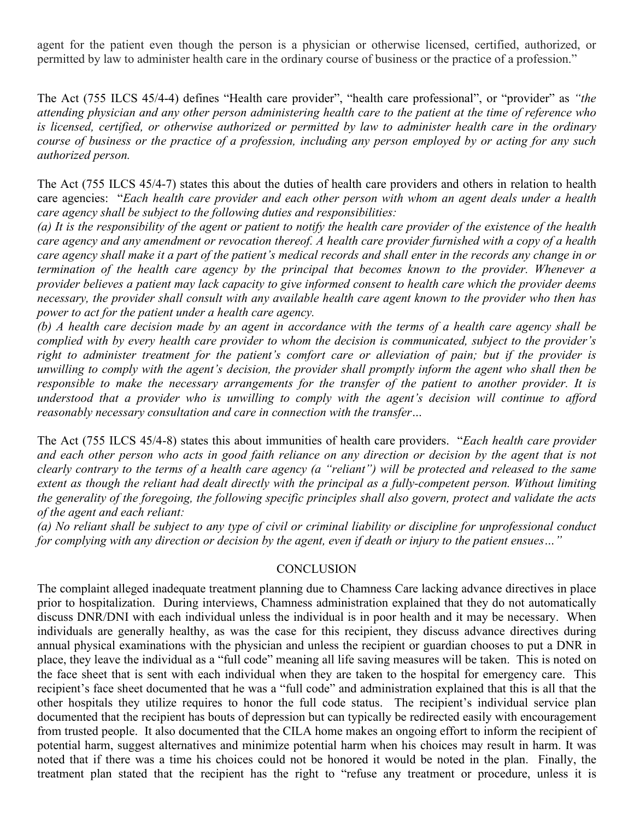agent for the patient even though the person is a physician or otherwise licensed, certified, authorized, or permitted by law to administer health care in the ordinary course of business or the practice of a profession."

The Act (755 ILCS 45/4-4) defines "Health care provider", "health care professional", or "provider" as *"the attending physician and any other person administering health care to the patient at the time of reference who is licensed, certified, or otherwise authorized or permitted by law to administer health care in the ordinary course of business or the practice of a profession, including any person employed by or acting for any such authorized person.*

The Act (755 ILCS 45/4-7) states this about the duties of health care providers and others in relation to health care agencies: "*Each health care provider and each other person with whom an agent deals under a health care agency shall be subject to the following duties and responsibilities:*

*(a) It is the responsibility of the agent or patient to notify the health care provider of the existence of the health care agency and any amendment or revocation thereof. A health care provider furnished with a copy of a health care agency shall make it a part of the patient's medical records and shall enter in the records any change in or termination of the health care agency by the principal that becomes known to the provider. Whenever a provider believes a patient may lack capacity to give informed consent to health care which the provider deems necessary, the provider shall consult with any available health care agent known to the provider who then has power to act for the patient under a health care agency.*

*(b) A health care decision made by an agent in accordance with the terms of a health care agency shall be complied with by every health care provider to whom the decision is communicated, subject to the provider's right to administer treatment for the patient's comfort care or alleviation of pain; but if the provider is unwilling to comply with the agent's decision, the provider shall promptly inform the agent who shall then be responsible to make the necessary arrangements for the transfer of the patient to another provider. It is understood that a provider who is unwilling to comply with the agent's decision will continue to afford reasonably necessary consultation and care in connection with the transfer…*

The Act (755 ILCS 45/4-8) states this about immunities of health care providers. "*Each health care provider and each other person who acts in good faith reliance on any direction or decision by the agent that is not clearly contrary to the terms of a health care agency (a "reliant") will be protected and released to the same extent as though the reliant had dealt directly with the principal as a fully-competent person. Without limiting the generality of the foregoing, the following specific principles shall also govern, protect and validate the acts of the agent and each reliant:*

*(a) No reliant shall be subject to any type of civil or criminal liability or discipline for unprofessional conduct for complying with any direction or decision by the agent, even if death or injury to the patient ensues…"*

#### **CONCLUSION**

The complaint alleged inadequate treatment planning due to Chamness Care lacking advance directives in place prior to hospitalization. During interviews, Chamness administration explained that they do not automatically discuss DNR/DNI with each individual unless the individual is in poor health and it may be necessary. When individuals are generally healthy, as was the case for this recipient, they discuss advance directives during annual physical examinations with the physician and unless the recipient or guardian chooses to put a DNR in place, they leave the individual as a "full code" meaning all life saving measures will be taken. This is noted on the face sheet that is sent with each individual when they are taken to the hospital for emergency care. This recipient's face sheet documented that he was a "full code" and administration explained that this is all that the other hospitals they utilize requires to honor the full code status. The recipient's individual service plan documented that the recipient has bouts of depression but can typically be redirected easily with encouragement from trusted people. It also documented that the CILA home makes an ongoing effort to inform the recipient of potential harm, suggest alternatives and minimize potential harm when his choices may result in harm. It was noted that if there was a time his choices could not be honored it would be noted in the plan. Finally, the treatment plan stated that the recipient has the right to "refuse any treatment or procedure, unless it is